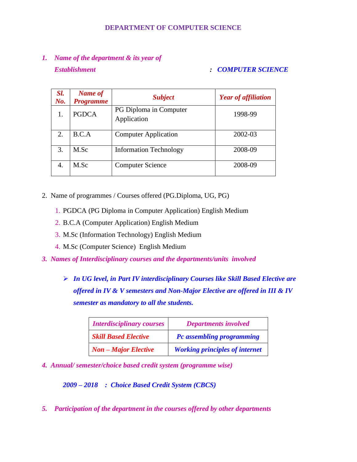#### **DEPARTMENT OF COMPUTER SCIENCE**

# *1. Name of the department & its year of Establishment : COMPUTER SCIENCE*

| Sl.<br>$N\!o$ . | Name of<br><b>Programme</b> | <b>Subject</b>                        | <b>Year of affiliation</b> |
|-----------------|-----------------------------|---------------------------------------|----------------------------|
| 1.              | <b>PGDCA</b>                | PG Diploma in Computer<br>Application | 1998-99                    |
| 2.              | B.C.A                       | <b>Computer Application</b>           | 2002-03                    |
| 3.              | M.Sc                        | <b>Information Technology</b>         | 2008-09                    |
| 4.              | M.Sc                        | <b>Computer Science</b>               | 2008-09                    |

- 2. Name of programmes / Courses offered (PG.Diploma, UG, PG)
	- 1. PGDCA (PG Diploma in Computer Application) English Medium
	- 2. B.C.A (Computer Application) English Medium
	- 3. M.Sc (Information Technology) English Medium
	- 4. M.Sc (Computer Science) English Medium
- *3. Names of Interdisciplinary courses and the departments/units involved*
	- *In UG level, in Part IV interdisciplinary Courses like Skill Based Elective are offered in IV & V semesters and Non-Major Elective are offered in III & IV semester as mandatory to all the students.*

| <b>Interdisciplinary courses</b> | <b>Departments involved</b>           |
|----------------------------------|---------------------------------------|
| <b>Skill Based Elective</b>      | Pc assembling programming             |
| $Non-Major$ Elective             | <b>Working principles of internet</b> |

*4. Annual/ semester/choice based credit system (programme wise)* 

*2009 – 2018 : Choice Based Credit System (CBCS)*

*5. Participation of the department in the courses offered by other departments*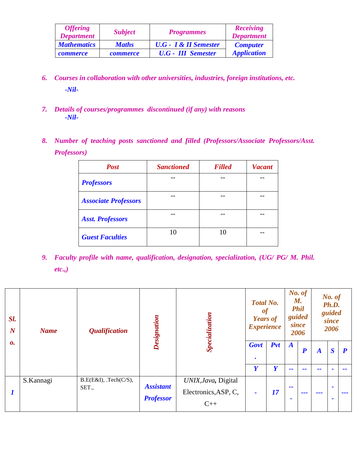| <b>Offering</b><br><b>Department</b> | <b>Subject</b>  | <b>Programmes</b>                          | Receiving<br><b>Department</b> |
|--------------------------------------|-----------------|--------------------------------------------|--------------------------------|
| <b>Mathematics</b>                   | <b>Maths</b>    | <b>U.G</b> - <b>I</b> & <b>II</b> Semester | <b>Computer</b>                |
| <i>commerce</i>                      | <b>commerce</b> | <b>U.G</b> - <b>III</b> Semester           | <b>Application</b>             |

- *6. Courses in collaboration with other universities, industries, foreign institutions, etc. -Nil-*
- *7. Details of courses/programmes discontinued (if any) with reasons -Nil-*
- *8. Number of teaching posts sanctioned and filled (Professors/Associate Professors/Asst. Professors)*

| <b>Post</b>                 | <b>Sanctioned</b> | <b>Filled</b> | <b>Vacant</b> |  |
|-----------------------------|-------------------|---------------|---------------|--|
| <b>Professors</b>           |                   |               |               |  |
| <b>Associate Professors</b> |                   |               |               |  |
| <b>Asst. Professors</b>     |                   |               |               |  |
| <b>Guest Faculties</b>      | 10                | 10            |               |  |

*9. Faculty profile with name, qualification, designation, specialization, (UG/ PG/ M. Phil. etc.,)*

| Sl.<br>$\boldsymbol{N}$ | <b>Name</b> | <b>Qualification</b>          | Designation                          | Specialization                                       | <b>Total No.</b><br>of<br><b>Years of</b><br><b>Experience</b> |     | No. of<br><b>M.</b><br><b>Phil</b><br>guided<br>since<br>2006 |                  | No. of<br>Ph.D.<br>guided<br>since<br>2006 |                                  |                  |
|-------------------------|-------------|-------------------------------|--------------------------------------|------------------------------------------------------|----------------------------------------------------------------|-----|---------------------------------------------------------------|------------------|--------------------------------------------|----------------------------------|------------------|
| 0.                      |             |                               |                                      |                                                      | Govt<br>$\bullet$                                              | Pvt | $\boldsymbol{A}$                                              | $\boldsymbol{P}$ | $\boldsymbol{A}$                           | $\boldsymbol{S}$                 | $\boldsymbol{P}$ |
|                         |             |                               |                                      |                                                      | Y                                                              | Y   | --                                                            | --               | --                                         |                                  | --               |
| 1                       | S.Kannagi   | B.E(E&I), Tech(C/S),<br>SET., | <b>Assistant</b><br><b>Professor</b> | UNIX, Java, Digital<br>Electronics, ASP, C,<br>$C++$ | $\blacksquare$                                                 | 17  | --<br>$\overline{\phantom{a}}$                                | ---              | ---                                        | $\blacksquare$<br>$\blacksquare$ | ---              |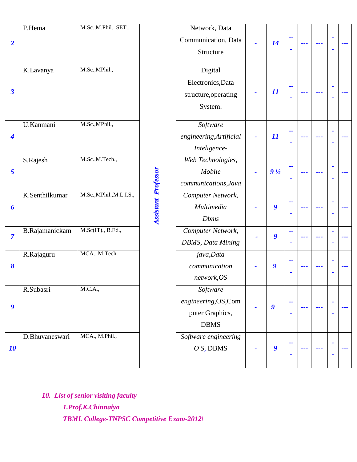|                          | P.Hema         | M.Sc., M.Phil., SET.,    |                            | Network, Data             |                |                            |                          |  |                |     |
|--------------------------|----------------|--------------------------|----------------------------|---------------------------|----------------|----------------------------|--------------------------|--|----------------|-----|
|                          |                |                          |                            | Communication, Data       |                |                            | $\overline{a}$           |  | $\blacksquare$ |     |
| $\overline{2}$           |                |                          |                            | Structure                 |                | 14                         | ٠                        |  | $\blacksquare$ | --- |
|                          |                |                          |                            |                           |                |                            |                          |  |                |     |
|                          | K.Lavanya      | M.Sc., MPhil.,           |                            | Digital                   |                |                            |                          |  |                |     |
|                          |                |                          |                            | Electronics, Data         |                |                            |                          |  |                |     |
| $\overline{\mathbf{3}}$  |                |                          |                            | structure, operating      |                | $\boldsymbol{\mathit{11}}$ | $\overline{\phantom{a}}$ |  | $\blacksquare$ |     |
|                          |                |                          |                            |                           |                |                            | $\blacksquare$           |  | $\blacksquare$ |     |
|                          |                |                          |                            | System.                   |                |                            |                          |  |                |     |
|                          | U.Kanmani      | M.Sc., MPhil.,           |                            | Software                  |                |                            |                          |  |                |     |
| $\overline{\mathcal{A}}$ |                |                          |                            | engineering, Artificial   |                | $\boldsymbol{\mathit{11}}$ | --                       |  | $\blacksquare$ |     |
|                          |                |                          |                            | Inteligence-              |                |                            |                          |  | ٠              |     |
|                          | S.Rajesh       | M.Sc., M.Tech.,          |                            | Web Technologies,         |                |                            |                          |  |                |     |
| $\overline{5}$           |                |                          |                            | Mobile                    |                | $9\frac{1}{2}$             | $\overline{\phantom{a}}$ |  | $\blacksquare$ |     |
|                          |                |                          |                            |                           |                |                            |                          |  | ٠              |     |
|                          |                |                          | <b>Assistant Professor</b> | communications, Java      |                |                            |                          |  |                |     |
|                          | K.Senthilkumar | M.Sc., MPhil., M.L.I.S., |                            | Computer Network,         |                |                            | ۰.                       |  | $\blacksquare$ |     |
| 6                        |                |                          |                            | Multimedia                |                | 9                          | ٠                        |  | ٠              |     |
|                          |                |                          |                            | <b>Dbms</b>               |                |                            |                          |  |                |     |
| $\overline{7}$           | B.Rajamanickam | M.Sc(IT)., B.Ed.,        |                            | Computer Network,         |                | 9                          | --                       |  | $\blacksquare$ | --- |
|                          |                |                          |                            | <b>DBMS</b> , Data Mining | $\blacksquare$ |                            |                          |  | $\blacksquare$ |     |
|                          | R.Rajaguru     | MCA., M.Tech             |                            | java, Data                |                |                            |                          |  |                |     |
| $\boldsymbol{\delta}$    |                |                          |                            | communication             |                | $\boldsymbol{g}$           | --                       |  | $\blacksquare$ |     |
|                          |                |                          |                            | network, OS               |                |                            | ٠                        |  | ٠              |     |
|                          | R.Subasri      | M.C.A.,                  |                            | Software                  |                |                            |                          |  |                |     |
|                          |                |                          |                            | engineering, OS, Com      |                |                            | --                       |  | $\blacksquare$ |     |
| $\boldsymbol{g}$         |                |                          |                            | puter Graphics,           |                | $\boldsymbol{g}$           |                          |  |                |     |
|                          |                |                          |                            |                           |                |                            | $\blacksquare$           |  | $\blacksquare$ |     |
|                          |                |                          |                            | <b>DBMS</b>               |                |                            |                          |  |                |     |
|                          | D.Bhuvaneswari | MCA., M.Phil.,           |                            | Software engineering      |                |                            | ۰.                       |  | $\blacksquare$ |     |
| 10                       |                |                          |                            | $O S$ , DBMS              |                | $\boldsymbol{g}$           |                          |  | ۰              |     |
|                          |                |                          |                            |                           |                |                            |                          |  |                |     |

*10. List of senior visiting faculty 1.Prof.K.Chinnaiya TBML College-TNPSC Competitive Exam-2012\*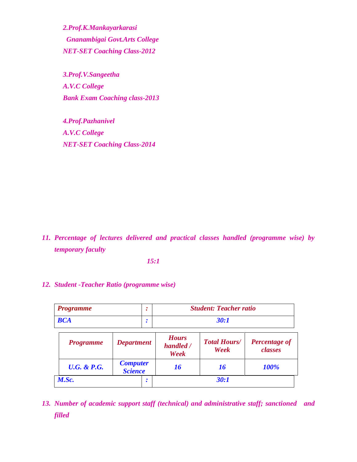*2.Prof.K.Mankayarkarasi Gnanambigai Govt.Arts College NET-SET Coaching Class-2012*

*3.Prof.V.Sangeetha A.V.C College Bank Exam Coaching class-2013*

*4.Prof.Pazhanivel A.V.C College NET-SET Coaching Class-2014*

*11. Percentage of lectures delivered and practical classes handled (programme wise) by temporary faculty*

*15:1*

#### *12. Student -Teacher Ratio (programme wise)*

| <b>Programme</b> | <b>Student: Teacher ratio</b> |
|------------------|-------------------------------|
| <b>BCA</b>       | 30:1                          |

| <b>Programme</b>       | <b>Department</b>                 | <b>Hours</b><br>handled /<br>Week | <b>Total Hours/</b><br>Week | <b>Percentage of</b><br>classes |  |  |
|------------------------|-----------------------------------|-----------------------------------|-----------------------------|---------------------------------|--|--|
| <b>U.G. &amp; P.G.</b> | <b>Computer</b><br><b>Science</b> | 16                                | 16                          | 100%                            |  |  |
| M.Sc.                  | ٠                                 |                                   | 30:1                        |                                 |  |  |

*13. Number of academic support staff (technical) and administrative staff; sanctioned and filled*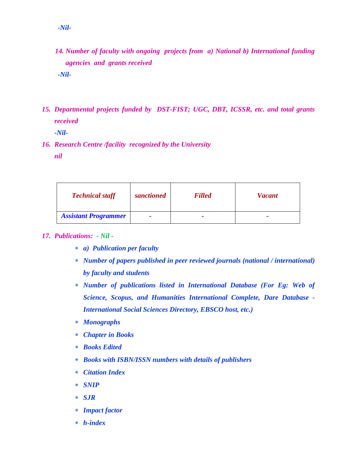- *14. Number of faculty with ongoing projects from a) National b) International funding agencies and grants received -Nil-*
- *15. Departmental projects funded by DST-FIST; UGC, DBT, ICSSR, etc. and total grants received*

*-Nil-*

*16. Research Centre /facility recognized by the University nil*

| <b>Technical staff</b>      | sanctioned | <b>Filled</b> | <b>Vacant</b>            |
|-----------------------------|------------|---------------|--------------------------|
| <b>Assistant Programmer</b> | -          |               | $\overline{\phantom{a}}$ |

#### *17. Publications: - Nil -*

- *a) Publication per faculty*
- *Number of papers published in peer reviewed journals (national / international) by faculty and students*
- *Number of publications listed in International Database (For Eg: Web of Science, Scopus, and Humanities International Complete, Dare Database - International Social Sciences Directory, EBSCO host, etc.)*
- *Monographs*
- *Chapter in Books*
- *Books Edited*
- *Books with ISBN/ISSN numbers with details of publishers*
- *Citation Index*
- *SNIP*
- *SJR*
- *Impact factor*
- *h-index*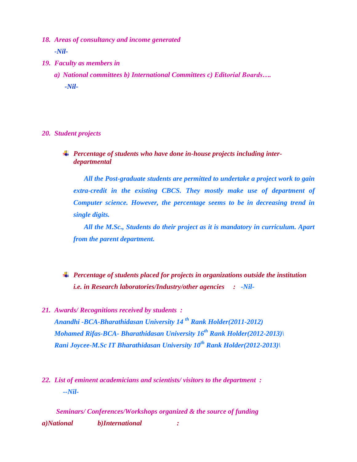- *18. Areas of consultancy and income generated -Nil-*
- *19. Faculty as members in* 
	- *a) National committees b) International Committees c) Editorial Boards…. -Nil-*

*20. Student projects* 

*Percentage of students who have done in-house projects including interdepartmental* 

*All the Post-graduate students are permitted to undertake a project work to gain extra-credit in the existing CBCS. They mostly make use of department of Computer science. However, the percentage seems to be in decreasing trend in single digits.* 

*All the M.Sc., Students do their project as it is mandatory in curriculum. Apart from the parent department.*

*Percentage of students placed for projects in organizations outside the institution i.e. in Research laboratories/Industry/other agencies : -Nil-*

- *21. Awards/ Recognitions received by students : Anandhi -BCA-Bharathidasan University 14 th Rank Holder(2011-2012) Mohamed Rifas-BCA- Bharathidasan University 16th Rank Holder(2012-2013)\ Rani Joycee-M.Sc IT Bharathidasan University 10th Rank Holder(2012-2013)\*
- *22. List of eminent academicians and scientists/ visitors to the department : --Nil-*

*Seminars/ Conferences/Workshops organized & the source of funding a)National b)International :*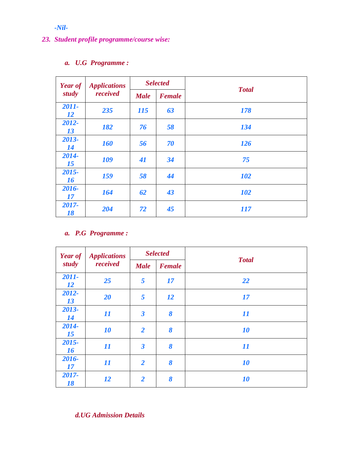*-Nil-*

## *23. Student profile programme/course wise:*

## *a. U.G Programme :*

| <b>Year of</b>     | <b>Applications</b> | <b>Selected</b> |               |              |
|--------------------|---------------------|-----------------|---------------|--------------|
| study              | received            | <b>Male</b>     | <b>Female</b> | <b>Total</b> |
| 2011-<br><b>12</b> | 235                 | <b>115</b>      | 63            | 178          |
| 2012-<br>13        | 182                 | 76              | 58            | 134          |
| 2013-<br>14        | <b>160</b>          | 56              | 70            | <b>126</b>   |
| 2014-<br>15        | 109                 | 41              | 34            | 75           |
| 2015-<br>16        | 159                 | 58              | 44            | <b>102</b>   |
| 2016-<br>17        | 164                 | 62              | 43            | <b>102</b>   |
| 2017-<br>18        | 204                 | 72              | 45            | <i>117</i>   |

## *a. P.G Programme :*

| <b>Year of</b>     | <b>Applications</b>        | <b>Selected</b>         |                       | <b>Total</b> |  |  |  |  |
|--------------------|----------------------------|-------------------------|-----------------------|--------------|--|--|--|--|
| study              | received                   | <b>Male</b>             | <b>Female</b>         |              |  |  |  |  |
| 2011-<br><b>12</b> | 25                         | 5                       | 17                    | 22           |  |  |  |  |
| 2012-<br>13        | 20                         | 5                       | <b>12</b>             | 17           |  |  |  |  |
| 2013-<br>14        | $\boldsymbol{\mathit{11}}$ | $\boldsymbol{\beta}$    | 8                     | 11           |  |  |  |  |
| 2014-<br>15        | 10                         | $\overline{2}$          | 8                     | 10           |  |  |  |  |
| 2015-<br>16        | 11                         | $\overline{\mathbf{3}}$ | 8                     | 11           |  |  |  |  |
| 2016-<br>17        | $\boldsymbol{\mathit{11}}$ | $\overline{2}$          | $\boldsymbol{\delta}$ | 10           |  |  |  |  |
| 2017-<br>18        | <b>12</b>                  | $\overline{2}$          | 8                     | 10           |  |  |  |  |

*d.UG Admission Details*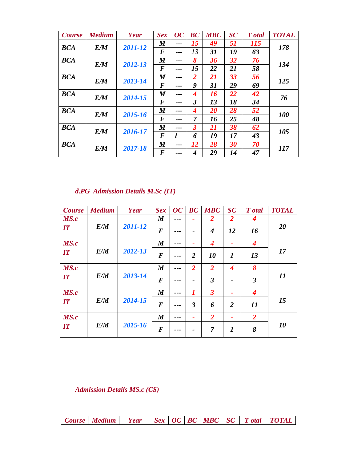| <b>Course</b> | <b>Medium</b> | Year    | <b>Sex</b>       | $\overline{OC}$ | BC                      | <b>MBC</b> | SC | T otal     | <b>TOTAL</b> |  |
|---------------|---------------|---------|------------------|-----------------|-------------------------|------------|----|------------|--------------|--|
| <b>BCA</b>    | E/M           | 2011-12 | $\boldsymbol{M}$ | ---             | 15                      | 49         | 51 | <i>115</i> | 178          |  |
|               |               |         | $\bm{F}$         | ---             | 13                      | 31         | 19 | 63         |              |  |
| <b>BCA</b>    | E/M           | 2012-13 | $\boldsymbol{M}$ | ---             | 8                       | 36         | 32 | 76         | 134          |  |
|               |               |         | $\bm{F}$         | ---             | 15                      | 22         | 21 | 58         |              |  |
| <b>BCA</b>    | E/M           | 2013-14 | $\boldsymbol{M}$ | ---             | $\overline{2}$          | 21         | 33 | 56         | 125          |  |
|               |               |         | $\boldsymbol{F}$ | ---             | 9                       | 31         | 29 | 69         |              |  |
| <b>BCA</b>    | E/M           | 2014-15 | $\boldsymbol{M}$ | ---             | 4                       | 16         | 22 | 42         | 76           |  |
|               |               |         | F                | ---             | $\mathfrak{Z}$          | 13         | 18 | 34         |              |  |
| <b>BCA</b>    | E/M           | 2015-16 | $\boldsymbol{M}$ | ---             | 4                       | <b>20</b>  | 28 | 52         | <b>100</b>   |  |
|               |               |         | $\boldsymbol{F}$ | ---             | $\overline{7}$          | 16         | 25 | 48         |              |  |
| <b>BCA</b>    | E/M           | 2016-17 | $\boldsymbol{M}$ | ---             | $\overline{\mathbf{3}}$ | 21         | 38 | 62         | 105          |  |
|               |               |         | $\bm{F}$         | 1               | 6                       | 19         | 17 | 43         |              |  |
| <b>BCA</b>    | E/M           | 2017-18 | $\boldsymbol{M}$ | ---             | 12                      | 28         | 30 | 70         | <i>117</i>   |  |
|               |               |         | F                | ---             | 4                       | 29         | 14 | 47         |              |  |

# *d.PG Admission Details M.Sc (IT)*

| <b>Course</b> | <b>Medium</b> | Year    | <b>Sex</b>       | $\overline{OC}$  | BC             | <b>MBC</b>                  | SC               | T otal                      | <b>TOTAL</b>            |    |
|---------------|---------------|---------|------------------|------------------|----------------|-----------------------------|------------------|-----------------------------|-------------------------|----|
| MS.c          |               |         | $\boldsymbol{M}$ | ---              | ۰              | 2                           | $\overline{2}$   | $\boldsymbol{4}$            |                         |    |
| IT            | E/M           | 2011-12 | $\boldsymbol{F}$ | ---              | -              | $\overline{\boldsymbol{4}}$ | 12               | 16                          | 20                      |    |
| MS.c          |               |         | $\boldsymbol{M}$ | ---              | ٠              | $\overline{\boldsymbol{4}}$ | ٠                | $\overline{\boldsymbol{4}}$ |                         |    |
| IT            | E/M           | 2012-13 | $\boldsymbol{F}$ | ---              | $\overline{2}$ | 10                          | $\boldsymbol{l}$ | 13                          | 17                      |    |
| MS.c          |               |         | $\boldsymbol{M}$ | ---              | $\overline{2}$ | $\overline{2}$              | $\boldsymbol{4}$ | 8                           |                         |    |
| IT            | E/M           |         | 2013-14          | $\boldsymbol{F}$ |                |                             | $\mathfrak{Z}$   | $\overline{a}$              | $\overline{\mathbf{3}}$ | 11 |
| MS.c          |               |         | $\boldsymbol{M}$ |                  | 1              | $\overline{\mathbf{3}}$     | ٠                | $\overline{\boldsymbol{4}}$ |                         |    |
| IT            | E/M           | 2014-15 | $\boldsymbol{F}$ | ---              | 3              | 6                           | $\overline{2}$   | 11                          | 15                      |    |
| MS.c          |               |         | $\boldsymbol{M}$ |                  | ۰              | $\overline{2}$              |                  | $\overline{2}$              |                         |    |
| IT            | E/M           | 2015-16 | $\bm{F}$         |                  |                | $\overline{7}$              | $\boldsymbol{l}$ | 8                           | 10                      |    |

*Admission Details MS.c (CS)*

*Course Medium Year Sex OC BC MBC SC T otal TOTAL*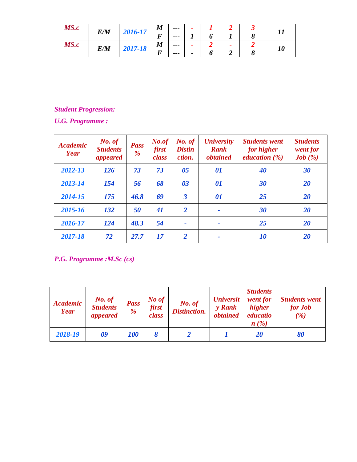| MS.c |     | 2016-17 | $\boldsymbol{M}$ | $\qquad \qquad \cdots$ |                          |  |           |
|------|-----|---------|------------------|------------------------|--------------------------|--|-----------|
|      | E/M |         |                  | ---                    |                          |  |           |
| MS.c | E/M |         | $\boldsymbol{M}$ | $- - -$                |                          |  |           |
|      |     | 2017-18 |                  | $- - -$                | $\overline{\phantom{0}}$ |  | <i>10</i> |

## *Student Progression:*

*U.G. Programme :*

| <b>Academic</b><br>Year | No. of<br><b>Students</b><br>appeared | <b>Pass</b><br>$\frac{9}{6}$ | No.of<br>first<br>class | No. of<br><b>Distin</b><br>ction. | <b><i>University</i></b><br><b>Rank</b><br><i><b>obtained</b></i> | <b>Students went</b><br>for higher<br><i>education</i> $(\%)$ | <b>Students</b><br>went for<br>Job $(\%)$ |
|-------------------------|---------------------------------------|------------------------------|-------------------------|-----------------------------------|-------------------------------------------------------------------|---------------------------------------------------------------|-------------------------------------------|
| 2012-13                 | 126                                   | 73                           | 73                      | 05                                | 01                                                                | 40                                                            | 30                                        |
| 2013-14                 | 154                                   | 56                           | 68                      | 03                                | 01                                                                | 30                                                            | 20                                        |
| 2014-15                 | 175                                   | 46.8                         | 69                      | $\overline{\mathbf{3}}$           | 01                                                                | 25                                                            | 20                                        |
| 2015-16                 | 132                                   | 50                           | 41                      | 2                                 |                                                                   | 30                                                            | 20                                        |
| 2016-17                 | 124                                   | 48.3                         | 54                      |                                   |                                                                   | 25                                                            | 20                                        |
| 2017-18                 | 72                                    | 27.7                         | 17                      | 2                                 |                                                                   | <i><b>10</b></i>                                              | <b>20</b>                                 |

*P.G. Programme :M.Sc (cs)*

| <b>Academic</b><br><b>Year</b> | No. of<br><b>Students</b><br>appeared | <b>Pass</b><br>$\frac{9}{6}$ | No of<br><b>first</b><br>class | No. of<br><b>Distinction.</b> | <b><i>Universit</i></b><br>y Rank<br><i>obtained</i> | <b>Students</b><br>went for<br><i>higher</i><br>educatio<br>n(%) | <b>Students went</b><br>for Job<br>(%) |
|--------------------------------|---------------------------------------|------------------------------|--------------------------------|-------------------------------|------------------------------------------------------|------------------------------------------------------------------|----------------------------------------|
| 2018-19                        | 09                                    | 100                          |                                |                               |                                                      | 20                                                               | 80                                     |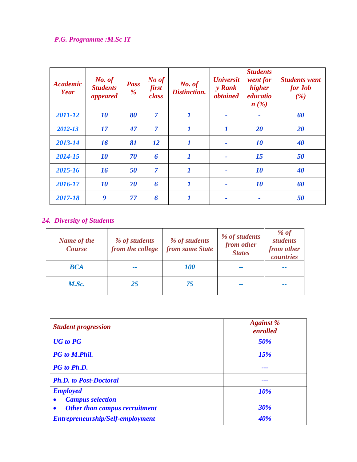## *P.G. Programme :M.Sc IT*

| <b>Academic</b><br>Year | No. of<br><b>Students</b><br>appeared | <b>Pass</b><br>$\%$ | No of<br>first<br>class | No. of<br>Distinction. | <b><i>Universit</i></b><br>y Rank<br><i>obtained</i> | <b>Students</b><br>went for<br>higher<br>educatio<br>$n(\%)$ | <b>Students went</b><br>for Job<br>(%) |
|-------------------------|---------------------------------------|---------------------|-------------------------|------------------------|------------------------------------------------------|--------------------------------------------------------------|----------------------------------------|
| 2011-12                 | 10                                    | 80                  | $\overline{7}$          | $\boldsymbol{l}$       | ٠                                                    | ٠                                                            | 60                                     |
| 2012-13                 | 17                                    | 47                  | $\overline{7}$          | $\boldsymbol{l}$       | $\boldsymbol{l}$                                     | 20                                                           | 20                                     |
| 2013-14                 | 16                                    | 81                  | <i>12</i>               | $\boldsymbol{l}$       | ٠                                                    | 10                                                           | 40                                     |
| 2014-15                 | 10                                    | 70                  | 6                       | $\boldsymbol{l}$       |                                                      | 15                                                           | 50                                     |
| 2015-16                 | 16                                    | 50                  | $\overline{7}$          | $\boldsymbol{l}$       | ٠                                                    | 10                                                           | 40                                     |
| 2016-17                 | 10                                    | 70                  | 6                       | $\boldsymbol{l}$       |                                                      | 10                                                           | 60                                     |
| 2017-18                 | 9                                     | 77                  | 6                       | 1                      |                                                      |                                                              | 50                                     |

## *24. Diversity of Students*

| <b>Name of the</b><br><b>Course</b> | % of students<br>from the college | % of students<br>from same State | % of students<br>from other<br><b>States</b> | % $of$<br><i>students</i><br>from other<br>countries |
|-------------------------------------|-----------------------------------|----------------------------------|----------------------------------------------|------------------------------------------------------|
| <b>BCA</b>                          | --                                | <i><b>100</b></i>                | --                                           | --                                                   |
| M.Sc.                               | 25                                | 75                               | --                                           | --                                                   |

| <b>Student progression</b>                 | <b>Against</b> %<br>enrolled |  |  |
|--------------------------------------------|------------------------------|--|--|
| <b>UG</b> to PG                            | 50%                          |  |  |
| <b>PG</b> to M.Phil.                       | 15%                          |  |  |
| PG to Ph.D.                                | ---                          |  |  |
| <b>Ph.D.</b> to Post-Doctoral              | ---                          |  |  |
| <b>Employed</b><br><b>Campus selection</b> | 10%                          |  |  |
| <b>Other than campus recruitment</b>       | <b>30%</b>                   |  |  |
| Entrepreneurship/Self-employment           | 40%                          |  |  |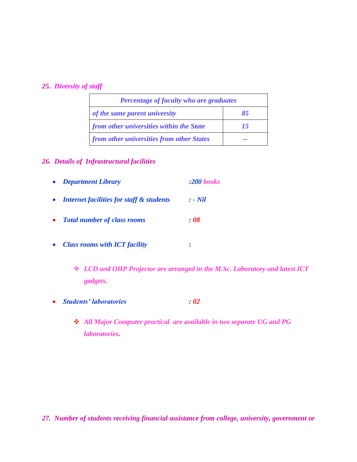#### *25. Diversity of staff*

| Percentage of faculty who are graduates   |    |  |  |  |
|-------------------------------------------|----|--|--|--|
| of the same parent university             | 85 |  |  |  |
| from other universities within the State  | 15 |  |  |  |
| from other universities from other States |    |  |  |  |

### *26. Details of Infrastructural facilities*

- *Department Library :200 books Internet facilities for staff & students : - Nil Total number of class rooms : 08*
- *Class rooms with ICT facility :* 
	- *LCD and OHP Projector are arranged in the M.Sc. Laboratory and latest ICT gadgets.*
- *Students' laboratories : 02*
	- *All Major Computer practical are available in two separate UG and PG laboratories.*

*27. Number of students receiving financial assistance from college, university, government or*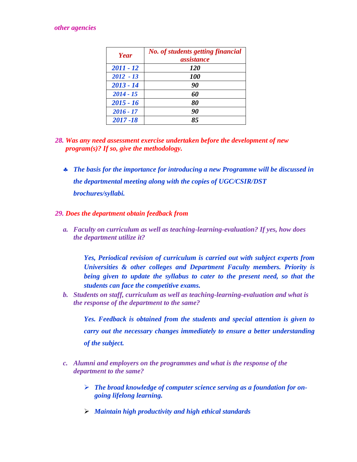#### *other agencies*

| Year        | <b>No.</b> of students getting financial<br>assistance |
|-------------|--------------------------------------------------------|
| $2011 - 12$ | <i>120</i>                                             |
| $2012 - 13$ | <i><b>100</b></i>                                      |
| $2013 - 14$ | 90                                                     |
| $2014 - 15$ | 60                                                     |
| $2015 - 16$ | 80                                                     |
| $2016 - 17$ | 90                                                     |
| $2017 - 18$ | 85                                                     |

- *28. Was any need assessment exercise undertaken before the development of new program(s)? If so, give the methodology.* 
	- *The basis for the importance for introducing a new Programme will be discussed in the departmental meeting along with the copies of UGC/CSIR/DST brochures/syllabi.*

#### *29. Does the department obtain feedback from*

*a. Faculty on curriculum as well as teaching-learning-evaluation? If yes, how does the department utilize it?*

*Yes, Periodical revision of curriculum is carried out with subject experts from Universities & other colleges and Department Faculty members. Priority is being given to update the syllabus to cater to the present need, so that the students can face the competitive exams.*

*b. Students on staff, curriculum as well as teaching-learning-evaluation and what is the response of the department to the same?*

*Yes. Feedback is obtained from the students and special attention is given to carry out the necessary changes immediately to ensure a better understanding of the subject.*

- *c. Alumni and employers on the programmes and what is the response of the department to the same?*
	- *The broad knowledge of computer science serving as a foundation for ongoing lifelong learning.*
	- *Maintain high productivity and high ethical standards*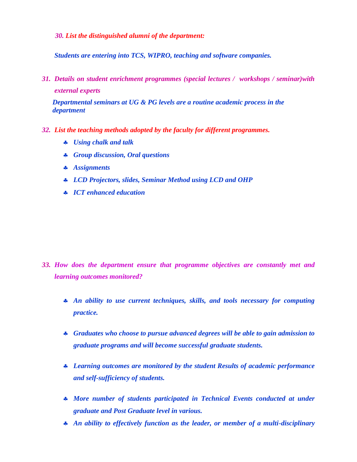*30. List the distinguished alumni of the department:*

*Students are entering into TCS, WIPRO, teaching and software companies.*

*31. Details on student enrichment programmes (special lectures / workshops / seminar)with external experts*

*Departmental seminars at UG & PG levels are a routine academic process in the department* 

- *32. List the teaching methods adopted by the faculty for different programmes.*
	- *Using chalk and talk*
	- *Group discussion, Oral questions*
	- *Assignments*
	- *LCD Projectors, slides, Seminar Method using LCD and OHP*
	- *ICT enhanced education*

- *33. How does the department ensure that programme objectives are constantly met and learning outcomes monitored?*
	- *An ability to use current techniques, skills, and tools necessary for computing practice.*
	- *Graduates who choose to pursue advanced degrees will be able to gain admission to graduate programs and will become successful graduate students.*
	- *Learning outcomes are monitored by the student Results of academic performance and self-sufficiency of students.*
	- *More number of students participated in Technical Events conducted at under graduate and Post Graduate level in various.*
	- *An ability to effectively function as the leader, or member of a multi-disciplinary*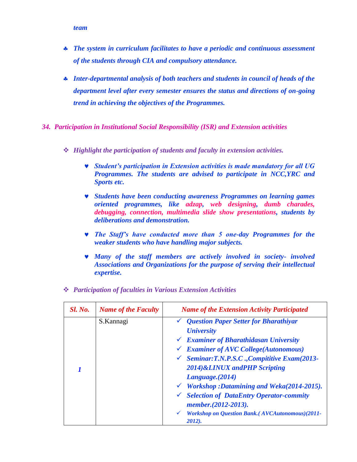- *The system in curriculum facilitates to have a periodic and continuous assessment of the students through CIA and compulsory attendance.*
- *Inter-departmental analysis of both teachers and students in council of heads of the department level after every semester ensures the status and directions of on-going trend in achieving the objectives of the Programmes.*
- *34. Participation in Institutional Social Responsibility (ISR) and Extension activities*
	- *Highlight the participation of students and faculty in extension activities.*
		- *Student's participation in Extension activities is made mandatory for all UG Programmes. The students are advised to participate in NCC,YRC and Sports etc.*
		- *Students have been conducting awareness Programmes on learning games oriented programmes, like adzap, web designing, dumb charades, debugging, connection, multimedia slide show presentations, students by deliberations and demonstration.*
		- *The Staff's have conducted more than 5 one-day Programmes for the weaker students who have handling major subjects.*
		- *Many of the staff members are actively involved in society- involved Associations and Organizations for the purpose of serving their intellectual expertise.*

| <b>Sl. No.</b> | <b>Name of the Faculty</b> | <b>Name of the Extension Activity Participated</b>                                                                                                                                                                                                                                                                                                                                                                                                                                                                                                 |
|----------------|----------------------------|----------------------------------------------------------------------------------------------------------------------------------------------------------------------------------------------------------------------------------------------------------------------------------------------------------------------------------------------------------------------------------------------------------------------------------------------------------------------------------------------------------------------------------------------------|
|                | S.Kannagi                  | <b>Question Paper Setter for Bharathiyar</b><br><b><i>University</i></b><br>$\checkmark$ Examiner of Bharathidasan University<br>$\checkmark$ Examiner of AVC College(Autonomous)<br><b>Seminar:T.N.P.S.C., Compititive Exam(2013-</b><br>$\checkmark$<br>2014)&LINUX andPHP Scripting<br>Language. (2014)<br>$\checkmark$ Workshop :Datamining and Weka(2014-2015).<br><b>Selection of DataEntry Operator-commity</b><br>$\checkmark$<br>member.(2012-2013).<br><b>Workshop on Question Bank.</b> (AVCAutonomous)(2011-<br>$\checkmark$<br>2012). |

*Participation of faculties in Various Extension Activities*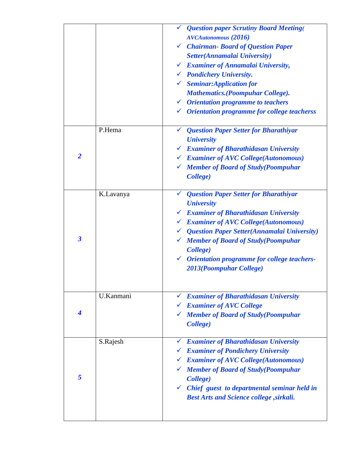|                         |           | └ Question paper Scrutiny Board Meeting(                 |
|-------------------------|-----------|----------------------------------------------------------|
|                         |           | <b>AVCAutonomous</b> (2016)                              |
|                         |           | $\checkmark$ Chairman-Board of Question Paper            |
|                         |           | Setter(Annamalai University)                             |
|                         |           | $\checkmark$ Examiner of Annamalai University,           |
|                         |           | └ Pondichery University.                                 |
|                         |           | $\checkmark$ Seminar: Application for                    |
|                         |           | <b>Mathematics.</b> (Poompuhar College).                 |
|                         |           | $\checkmark$ Orientation programme to teachers           |
|                         |           | $\checkmark$ Orientation programme for college teacherss |
|                         | P.Hema    | └ Question Paper Setter for Bharathiyar                  |
|                         |           | <b><i><u>University</u></i></b>                          |
|                         |           | $\checkmark$ Examiner of Bharathidasan University        |
| $\overline{2}$          |           | $\checkmark$ Examiner of AVC College(Autonomous)         |
|                         |           | └ Member of Board of Study(Poompuhar                     |
|                         |           | College)                                                 |
|                         | K.Lavanya | └ Question Paper Setter for Bharathiyar                  |
|                         |           | <b><i><u>University</u></i></b>                          |
|                         |           | $\checkmark$ Examiner of Bharathidasan University        |
|                         |           | $\checkmark$ Examiner of AVC College(Autonomous)         |
|                         |           | $\checkmark$ Question Paper Setter(Annamalai University) |
| $\overline{\mathbf{3}}$ |           | └ Member of Board of Study(Poompuhar                     |
|                         |           | College)                                                 |
|                         |           | √ Orientation programme for college teachers-            |
|                         |           | 2013(Poompuhar College)                                  |
|                         |           |                                                          |
|                         | U.Kanmani | <b>Examiner of Bharathidasan University</b>              |
|                         |           | $\checkmark$ Examiner of AVC College                     |
| $\boldsymbol{4}$        |           | └ Member of Board of Study(Poompuhar                     |
|                         |           | College)                                                 |
|                         | S.Rajesh  | <b>Examiner of Bharathidasan University</b>              |
|                         |           | $\checkmark$ Examiner of Pondichery University           |
|                         |           | $\checkmark$ Examiner of AVC College(Autonomous)         |
|                         |           | └ Member of Board of Study(Poompuhar                     |
| 5                       |           | College)                                                 |
|                         |           | $\checkmark$ Chief guest to departmental seminar held in |
|                         |           | <b>Best Arts and Science college, sirkali.</b>           |
|                         |           |                                                          |
|                         |           |                                                          |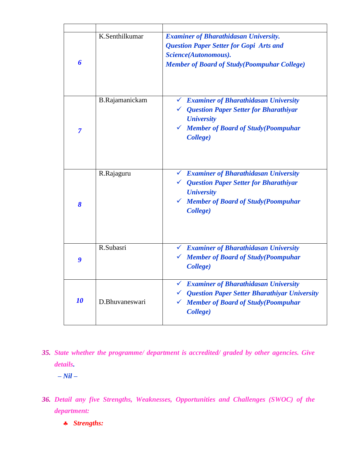| 6                | K.Senthilkumar | <b>Examiner of Bharathidasan University.</b><br><b>Question Paper Setter for Gopi Arts and</b><br>Science(Autonomous).<br><b>Member of Board of Study(Poompuhar College)</b>                              |
|------------------|----------------|-----------------------------------------------------------------------------------------------------------------------------------------------------------------------------------------------------------|
| $\overline{7}$   | B.Rajamanickam | <b>Examiner of Bharathidasan University</b><br>$\checkmark$<br>← Question Paper Setter for Bharathiyar<br><b><i><u>University</u></i></b><br>$\checkmark$ Member of Board of Study(Poompuhar<br>College)  |
| 8                | R.Rajaguru     | $\checkmark$ Examiner of Bharathidasan University<br>$\checkmark$ Question Paper Setter for Bharathiyar<br><b><i><u>University</u></i></b><br>$\checkmark$ Member of Board of Study(Poompuhar<br>College) |
| $\boldsymbol{g}$ | R.Subasri      | $\checkmark$ Examiner of Bharathidasan University<br>└ Member of Board of Study(Poompuhar<br>College)                                                                                                     |
| 10               | D.Bhuvaneswari | $\checkmark$ Examiner of Bharathidasan University<br>$\checkmark$ Question Paper Setter Bharathiyar University<br>$\checkmark$ Member of Board of Study(Poompuhar<br>College)                             |

*35. State whether the programme/ department is accredited/ graded by other agencies. Give details.* 

 *– Nil –*

- *36. Detail any five Strengths, Weaknesses, Opportunities and Challenges (SWOC) of the department:*
	- *Strengths:*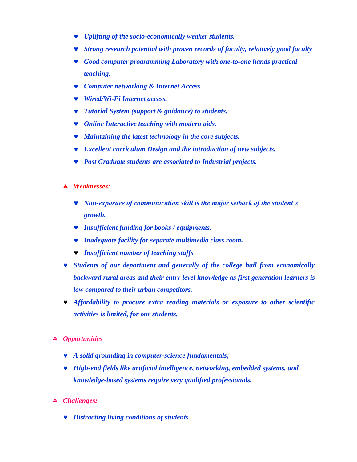- *Uplifting of the socio-economically weaker students.*
- *Strong research potential with proven records of faculty, relatively good faculty*
- *Good computer programming Laboratory with one-to-one hands practical teaching.*
- *Computer networking & Internet Access*
- *Wired/Wi-Fi Internet access.*
- *Tutorial System (support & guidance) to students.*
- *Online Interactive teaching with modern aids.*
- *Maintaining the latest technology in the core subjects.*
- *Excellent curriculum Design and the introduction of new subjects.*
- *Post Graduate students are associated to Industrial projects.*
- *Weaknesses:*
	- *Non-exposure of communication skill is the major setback of the student's growth.*
	- *Insufficient funding for books / equipments.*
	- *Inadequate facility for separate multimedia class room.*
	- *Insufficient number of teaching staffs*
- *Students of our department and generally of the college hail from economically backward rural areas and their entry level knowledge as first generation learners is low compared to their urban competitors.*
- *Affordability to procure extra reading materials or exposure to other scientific activities is limited, for our students.*
- *Opportunities*
	- *A solid grounding in computer-science fundamentals;*
	- *High-end fields like artificial intelligence, networking, embedded systems, and knowledge-based systems require very qualified professionals.*
- *Challenges:*
	- *Distracting living conditions of students.*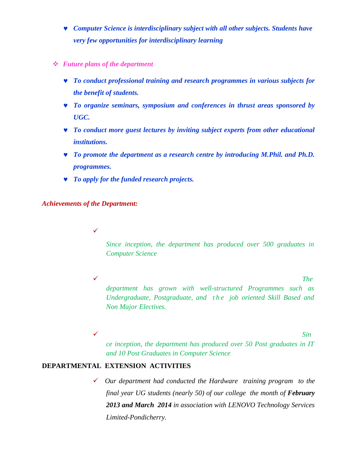- *Computer Science is interdisciplinary subject with all other subjects. Students have very few opportunities for interdisciplinary learning*
- *Future plans of the department*
	- *To conduct professional training and research programmes in various subjects for the benefit of students.*
	- *To organize seminars, symposium and conferences in thrust areas sponsored by UGC.*
	- *To conduct more guest lectures by inviting subject experts from other educational institutions.*
	- *To promote the department as a research centre by introducing M.Phil. and Ph.D. programmes.*
	- *To apply for the funded research projects.*

*Achievements of the Department:*

 $\checkmark$ 

*Since inception, the department has produced over 500 graduates in Computer Science*

 *The department has grown with well-structured Programmes such as Undergraduate, Postgraduate, and t h e job oriented Skill Based and Non Major Electives.*

*Sin*

*ce inception, the department has produced over 50 Post graduates in IT and 10 Post Graduates in Computer Science*

#### **DEPARTMENTAL EXTENSION ACTIVITIES**

 *Our department had conducted the Hardware training program to the final year UG students (nearly 50) of our college the month of <i>February 2013 and March 2014 in association with LENOVO Technology Services Limited-Pondicherry.*